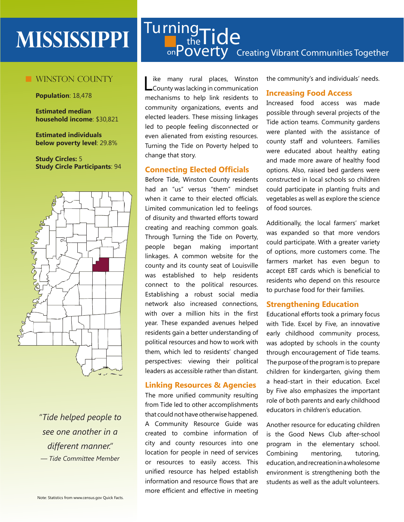# **MISSISSIPPI**

# **WINSTON COUNTY**

**Population**: 18,478

**Estimated median household income**: \$30,821

**Estimated individuals below poverty level**: 29.8%

**Study Circles:** 5 **Study Circle Participants**: 94



*"Tide helped people to see one another in a different manner." — Tide Committee Member*

# on **POVEITY** Creating Vibrant Communities Together Turning <sup>19</sup>Tide

Like many rural places, Winston<br>County was lacking in communication ike many rural places, Winston mechanisms to help link residents to community organizations, events and elected leaders. These missing linkages led to people feeling disconnected or even alienated from existing resources. Turning the Tide on Poverty helped to change that story.

#### **Connecting Elected Officials**

Before Tide, Winston County residents had an "us" versus "them" mindset when it came to their elected officials. Limited communication led to feelings of disunity and thwarted efforts toward creating and reaching common goals. Through Turning the Tide on Poverty, people began making important linkages. A common website for the county and its county seat of Louisville was established to help residents connect to the political resources. Establishing a robust social media network also increased connections, with over a million hits in the first year. These expanded avenues helped residents gain a better understanding of political resources and how to work with them, which led to residents' changed perspectives: viewing their political leaders as accessible rather than distant.

# **Linking Resources & Agencies**

The more unified community resulting from Tide led to other accomplishments that could not have otherwise happened. A Community Resource Guide was created to combine information of city and county resources into one location for people in need of services or resources to easily access. This unified resource has helped establish information and resource flows that are more efficient and effective in meeting the community's and individuals' needs.

#### **Increasing Food Access**

Increased food access was made possible through several projects of the Tide action teams. Community gardens were planted with the assistance of county staff and volunteers. Families were educated about healthy eating and made more aware of healthy food options. Also, raised bed gardens were constructed in local schools so children could participate in planting fruits and vegetables as well as explore the science of food sources.

Additionally, the local farmers' market was expanded so that more vendors could participate. With a greater variety of options, more customers come. The farmers market has even begun to accept EBT cards which is beneficial to residents who depend on this resource to purchase food for their families.

#### **Strengthening Education**

Educational efforts took a primary focus with Tide. Excel by Five, an innovative early childhood community process, was adopted by schools in the county through encouragement of Tide teams. The purpose of the program is to prepare children for kindergarten, giving them a head-start in their education. Excel by Five also emphasizes the important role of both parents and early childhood educators in children's education.

Another resource for educating children is the Good News Club after-school program in the elementary school. Combining mentoring, tutoring, education, and recreation in a wholesome environment is strengthening both the students as well as the adult volunteers.